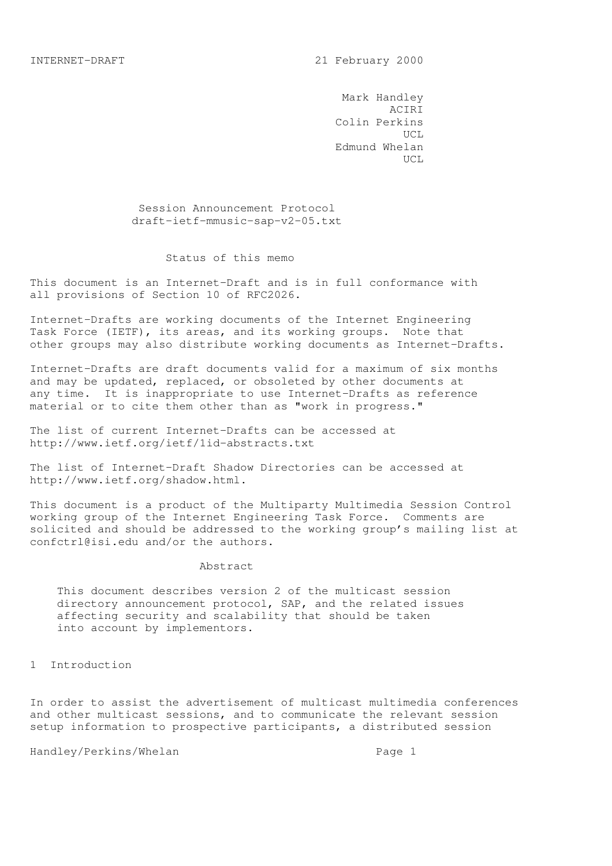Mark Handley ACIRI Colin Perkins UCL Edmund Whelan UCL

> Session Announcement Protocol draft-ietf-mmusic-sap-v2-05.txt

### Status of this memo

This document is an Internet-Draft and is in full conformance with all provisions of Section 10 of RFC2026.

Internet-Drafts are working documents of the Internet Engineering Task Force (IETF), its areas, and its working groups. Note that other groups may also distribute working documents as Internet-Drafts.

Internet-Drafts are draft documents valid for a maximum of six months and may be updated, replaced, or obsoleted by other documents at any time. It is inappropriate to use Internet-Drafts as reference material or to cite them other than as "work in progress."

The list of current Internet-Drafts can be accessed at http://www.ietf.org/ietf/1id-abstracts.txt

The list of Internet-Draft Shadow Directories can be accessed at http://www.ietf.org/shadow.html.

This document is a product of the Multiparty Multimedia Session Control working group of the Internet Engineering Task Force. Comments are solicited and should be addressed to the working group's mailing list at confctrl@isi.edu and/or the authors.

### Abstract

 This document describes version 2 of the multicast session directory announcement protocol, SAP, and the related issues affecting security and scalability that should be taken into account by implementors.

1 Introduction

In order to assist the advertisement of multicast multimedia conferences and other multicast sessions, and to communicate the relevant session setup information to prospective participants, a distributed session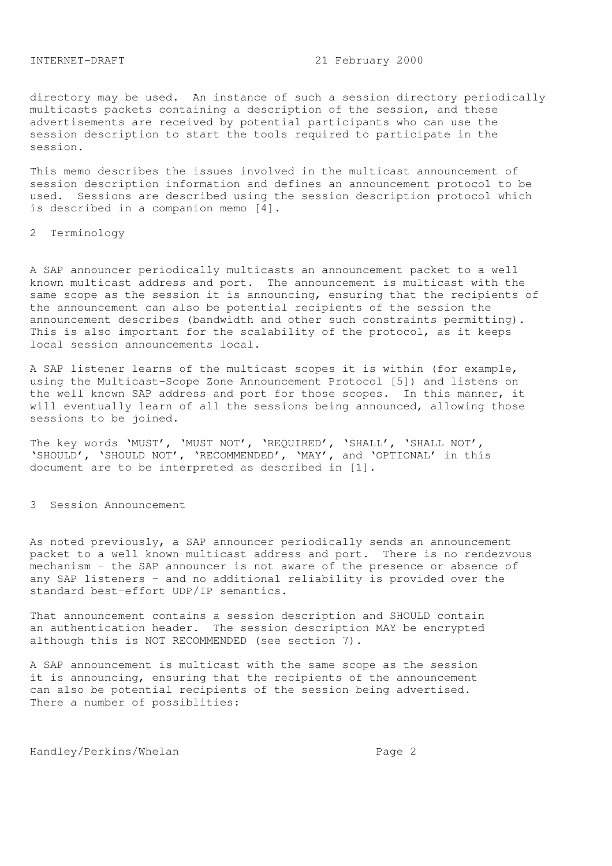directory may be used. An instance of such a session directory periodically multicasts packets containing a description of the session, and these advertisements are received by potential participants who can use the session description to start the tools required to participate in the session.

This memo describes the issues involved in the multicast announcement of session description information and defines an announcement protocol to be used. Sessions are described using the session description protocol which is described in a companion memo [4].

### 2 Terminology

A SAP announcer periodically multicasts an announcement packet to a well known multicast address and port. The announcement is multicast with the same scope as the session it is announcing, ensuring that the recipients of the announcement can also be potential recipients of the session the announcement describes (bandwidth and other such constraints permitting). This is also important for the scalability of the protocol, as it keeps local session announcements local.

A SAP listener learns of the multicast scopes it is within (for example, using the Multicast-Scope Zone Announcement Protocol [5]) and listens on the well known SAP address and port for those scopes. In this manner, it will eventually learn of all the sessions being announced, allowing those sessions to be joined.

The key words 'MUST', 'MUST NOT', 'REQUIRED', 'SHALL', 'SHALL NOT', 'SHOULD', 'SHOULD NOT', 'RECOMMENDED', 'MAY', and 'OPTIONAL' in this document are to be interpreted as described in [1].

#### 3 Session Announcement

As noted previously, a SAP announcer periodically sends an announcement packet to a well known multicast address and port. There is no rendezvous mechanism - the SAP announcer is not aware of the presence or absence of any SAP listeners - and no additional reliability is provided over the standard best-effort UDP/IP semantics.

That announcement contains a session description and SHOULD contain an authentication header. The session description MAY be encrypted although this is NOT RECOMMENDED (see section 7).

A SAP announcement is multicast with the same scope as the session it is announcing, ensuring that the recipients of the announcement can also be potential recipients of the session being advertised. There a number of possiblities: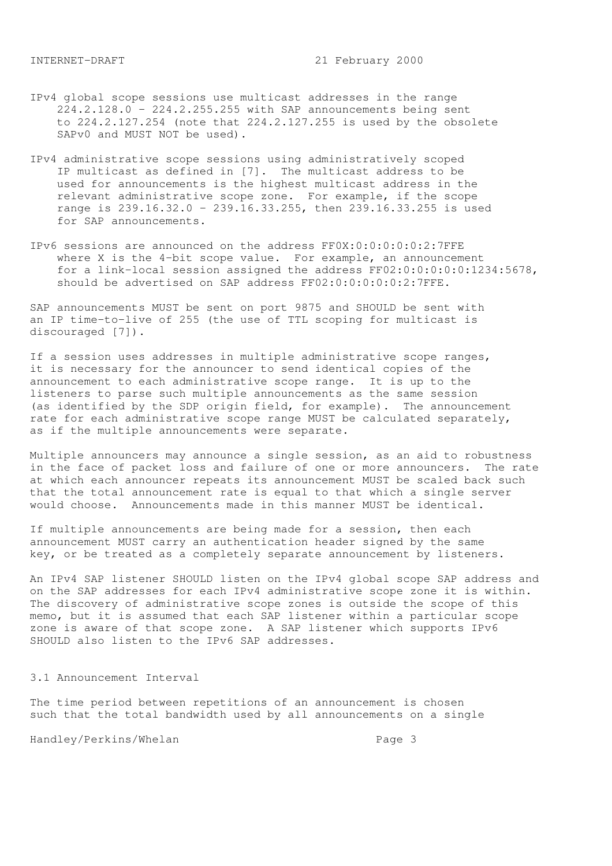- IPv4 global scope sessions use multicast addresses in the range 224.2.128.0 - 224.2.255.255 with SAP announcements being sent to 224.2.127.254 (note that 224.2.127.255 is used by the obsolete SAPv0 and MUST NOT be used).
- IPv4 administrative scope sessions using administratively scoped IP multicast as defined in [7]. The multicast address to be used for announcements is the highest multicast address in the relevant administrative scope zone. For example, if the scope range is 239.16.32.0 - 239.16.33.255, then 239.16.33.255 is used for SAP announcements.
- IPv6 sessions are announced on the address FF0X:0:0:0:0:0:2:7FFE where X is the 4-bit scope value. For example, an announcement for a link-local session assigned the address FF02:0:0:0:0:0:1234:5678, should be advertised on SAP address FF02:0:0:0:0:0:2:7FFE.

SAP announcements MUST be sent on port 9875 and SHOULD be sent with an IP time-to-live of 255 (the use of TTL scoping for multicast is discouraged [7]).

If a session uses addresses in multiple administrative scope ranges, it is necessary for the announcer to send identical copies of the announcement to each administrative scope range. It is up to the listeners to parse such multiple announcements as the same session (as identified by the SDP origin field, for example). The announcement rate for each administrative scope range MUST be calculated separately, as if the multiple announcements were separate.

Multiple announcers may announce a single session, as an aid to robustness in the face of packet loss and failure of one or more announcers. The rate at which each announcer repeats its announcement MUST be scaled back such that the total announcement rate is equal to that which a single server would choose. Announcements made in this manner MUST be identical.

If multiple announcements are being made for a session, then each announcement MUST carry an authentication header signed by the same key, or be treated as a completely separate announcement by listeners.

An IPv4 SAP listener SHOULD listen on the IPv4 global scope SAP address and on the SAP addresses for each IPv4 administrative scope zone it is within. The discovery of administrative scope zones is outside the scope of this memo, but it is assumed that each SAP listener within a particular scope zone is aware of that scope zone. A SAP listener which supports IPv6 SHOULD also listen to the IPv6 SAP addresses.

#### 3.1 Announcement Interval

The time period between repetitions of an announcement is chosen such that the total bandwidth used by all announcements on a single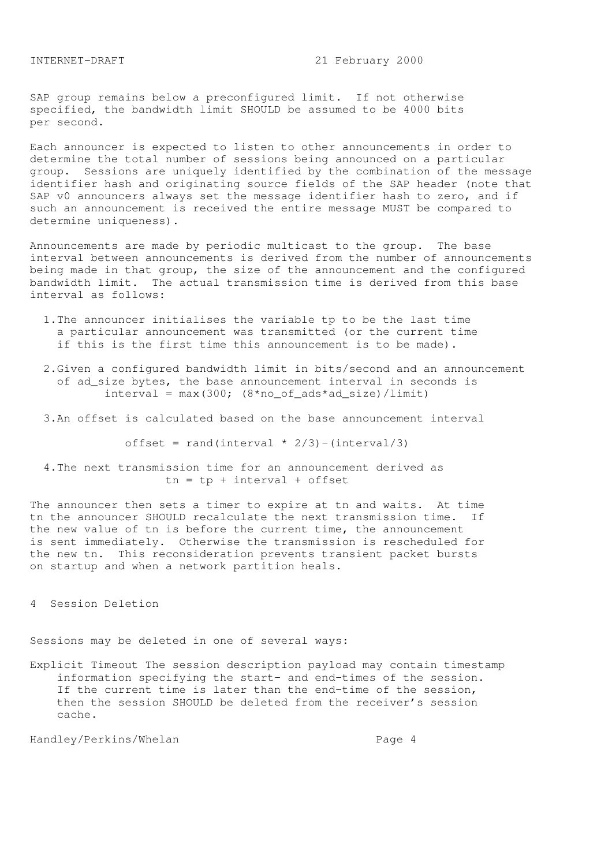SAP group remains below a preconfigured limit. If not otherwise specified, the bandwidth limit SHOULD be assumed to be 4000 bits per second.

Each announcer is expected to listen to other announcements in order to determine the total number of sessions being announced on a particular group. Sessions are uniquely identified by the combination of the message identifier hash and originating source fields of the SAP header (note that SAP v0 announcers always set the message identifier hash to zero, and if such an announcement is received the entire message MUST be compared to determine uniqueness).

Announcements are made by periodic multicast to the group. The base interval between announcements is derived from the number of announcements being made in that group, the size of the announcement and the configured bandwidth limit. The actual transmission time is derived from this base interval as follows:

- 1.The announcer initialises the variable tp to be the last time a particular announcement was transmitted (or the current time if this is the first time this announcement is to be made).
- 2.Given a configured bandwidth limit in bits/second and an announcement of ad\_size bytes, the base announcement interval in seconds is  $interval = max(300; (8*no_of_ads*ad_size)/limit)$
- 3.An offset is calculated based on the base announcement interval

offset = rand(interval  $*$  2/3) -(interval/3)

 4.The next transmission time for an announcement derived as  $tn = tp + interval + offset$ 

The announcer then sets a timer to expire at tn and waits. At time tn the announcer SHOULD recalculate the next transmission time. If the new value of tn is before the current time, the announcement is sent immediately. Otherwise the transmission is rescheduled for the new tn. This reconsideration prevents transient packet bursts on startup and when a network partition heals.

4 Session Deletion

Sessions may be deleted in one of several ways:

Explicit Timeout The session description payload may contain timestamp information specifying the start- and end-times of the session. If the current time is later than the end-time of the session, then the session SHOULD be deleted from the receiver's session cache.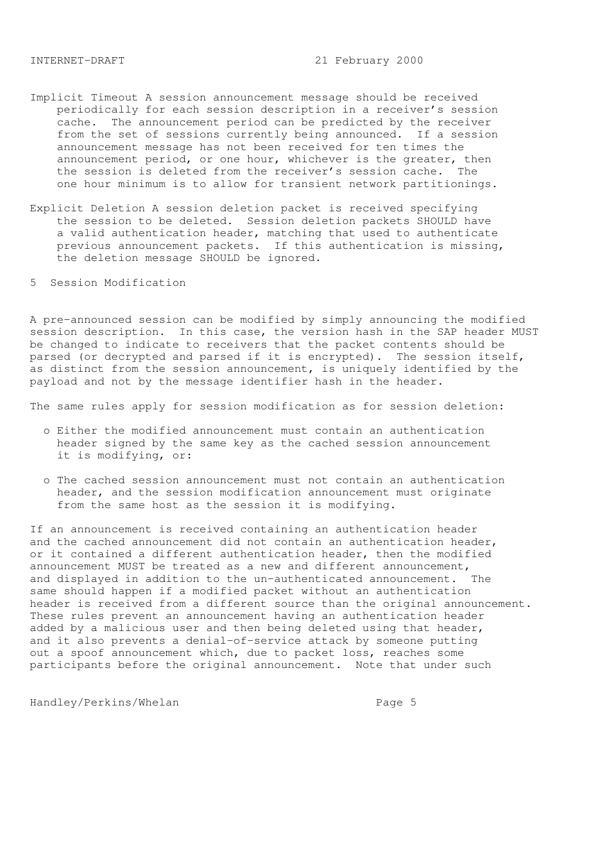- Implicit Timeout A session announcement message should be received periodically for each session description in a receiver's session cache. The announcement period can be predicted by the receiver from the set of sessions currently being announced. If a session announcement message has not been received for ten times the announcement period, or one hour, whichever is the greater, then the session is deleted from the receiver's session cache. The one hour minimum is to allow for transient network partitionings.
- Explicit Deletion A session deletion packet is received specifying the session to be deleted. Session deletion packets SHOULD have a valid authentication header, matching that used to authenticate previous announcement packets. If this authentication is missing, the deletion message SHOULD be ignored.
- 5 Session Modification

A pre-announced session can be modified by simply announcing the modified session description. In this case, the version hash in the SAP header MUST be changed to indicate to receivers that the packet contents should be parsed (or decrypted and parsed if it is encrypted). The session itself, as distinct from the session announcement, is uniquely identified by the payload and not by the message identifier hash in the header.

The same rules apply for session modification as for session deletion:

- o Either the modified announcement must contain an authentication header signed by the same key as the cached session announcement it is modifying, or:
- o The cached session announcement must not contain an authentication header, and the session modification announcement must originate from the same host as the session it is modifying.

If an announcement is received containing an authentication header and the cached announcement did not contain an authentication header, or it contained a different authentication header, then the modified announcement MUST be treated as a new and different announcement, and displayed in addition to the un-authenticated announcement. The same should happen if a modified packet without an authentication header is received from a different source than the original announcement. These rules prevent an announcement having an authentication header added by a malicious user and then being deleted using that header, and it also prevents a denial-of-service attack by someone putting out a spoof announcement which, due to packet loss, reaches some participants before the original announcement. Note that under such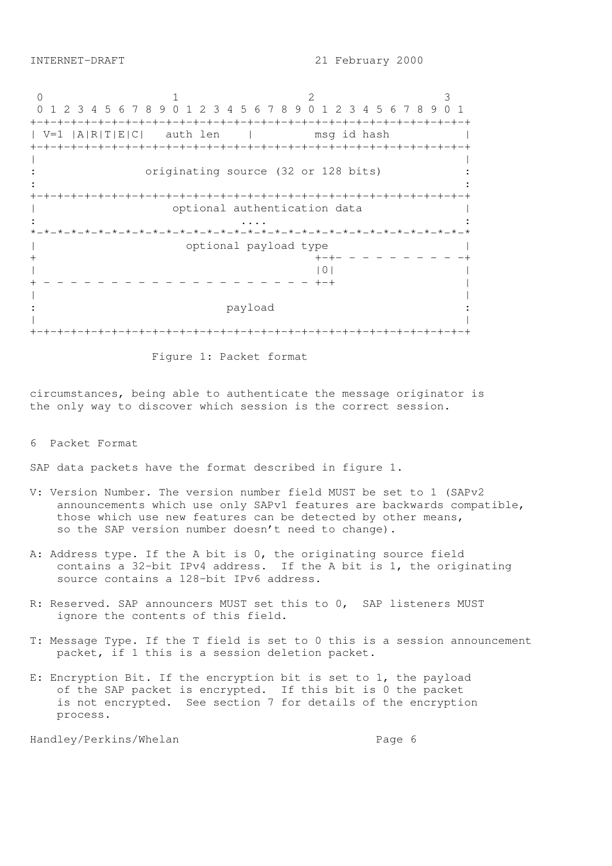0 1 2 3 0 1 2 3 4 5 6 7 8 9 0 1 2 3 4 5 6 7 8 9 0 1 2 3 4 5 6 7 8 9 0 1 +-+-+-+-+-+-+-+-+-+-+-+-+-+-+-+-+-+-+-+-+-+-+-+-+-+-+-+-+-+-+-+-+ | V=1 |A|R|T|E|C| auth len | msg id hash | +-+-+-+-+-+-+-+-+-+-+-+-+-+-+-+-+-+-+-+-+-+-+-+-+-+-+-+-+-+-+-+-+ | | originating source (32 or 128 bits) :  $\mathbf{r} = \mathbf{r} \times \mathbf{r}$  ,  $\mathbf{r} = \mathbf{r} \times \mathbf{r}$  ,  $\mathbf{r} = \mathbf{r} \times \mathbf{r}$  ,  $\mathbf{r} = \mathbf{r} \times \mathbf{r}$  ,  $\mathbf{r} = \mathbf{r} \times \mathbf{r}$  ,  $\mathbf{r} = \mathbf{r} \times \mathbf{r}$  ,  $\mathbf{r} = \mathbf{r} \times \mathbf{r}$  ,  $\mathbf{r} = \mathbf{r} \times \mathbf{r}$  ,  $\mathbf{r} = \mathbf$ +-+-+-+-+-+-+-+-+-+-+-+-+-+-+-+-+-+-+-+-+-+-+-+-+-+-+-+-+-+-+-+-+ | optional authentication data | : .... : \*-\*-\*-\*-\*-\*-\*-\*-\*-\*-\*-\*-\*-\*-\*-\*-\*-\*-\*-\*-\*-\*-\*-\*-\*-\*-\*-\*-\*-\*-\*-\*-\* | optional payload type | + +-+- - - - - - - - - -+  $|0|$ + - - - - - - - - - - - - - - - - - - - - +-+ | | | : payload : | | +-+-+-+-+-+-+-+-+-+-+-+-+-+-+-+-+-+-+-+-+-+-+-+-+-+-+-+-+-+-+-+-+

Figure 1: Packet format

circumstances, being able to authenticate the message originator is the only way to discover which session is the correct session.

6 Packet Format

SAP data packets have the format described in figure 1.

- V: Version Number. The version number field MUST be set to 1 (SAPv2 announcements which use only SAPv1 features are backwards compatible, those which use new features can be detected by other means, so the SAP version number doesn't need to change).
- A: Address type. If the A bit is 0, the originating source field contains a 32-bit IPv4 address. If the A bit is 1, the originating source contains a 128-bit IPv6 address.
- R: Reserved. SAP announcers MUST set this to 0, SAP listeners MUST ignore the contents of this field.
- T: Message Type. If the T field is set to 0 this is a session announcement packet, if 1 this is a session deletion packet.
- E: Encryption Bit. If the encryption bit is set to 1, the payload of the SAP packet is encrypted. If this bit is 0 the packet is not encrypted. See section 7 for details of the encryption process.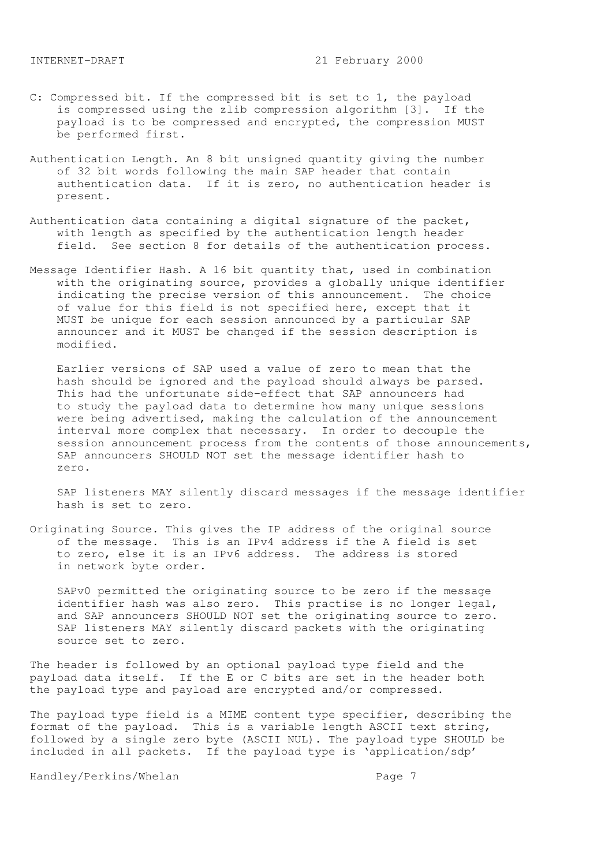- C: Compressed bit. If the compressed bit is set to 1, the payload is compressed using the zlib compression algorithm [3]. If the payload is to be compressed and encrypted, the compression MUST be performed first.
- Authentication Length. An 8 bit unsigned quantity giving the number of 32 bit words following the main SAP header that contain authentication data. If it is zero, no authentication header is present.
- Authentication data containing a digital signature of the packet, with length as specified by the authentication length header field. See section 8 for details of the authentication process.
- Message Identifier Hash. A 16 bit quantity that, used in combination with the originating source, provides a globally unique identifier indicating the precise version of this announcement. The choice of value for this field is not specified here, except that it MUST be unique for each session announced by a particular SAP announcer and it MUST be changed if the session description is modified.

 Earlier versions of SAP used a value of zero to mean that the hash should be ignored and the payload should always be parsed. This had the unfortunate side-effect that SAP announcers had to study the payload data to determine how many unique sessions were being advertised, making the calculation of the announcement interval more complex that necessary. In order to decouple the session announcement process from the contents of those announcements, SAP announcers SHOULD NOT set the message identifier hash to zero.

 SAP listeners MAY silently discard messages if the message identifier hash is set to zero.

Originating Source. This gives the IP address of the original source of the message. This is an IPv4 address if the A field is set to zero, else it is an IPv6 address. The address is stored in network byte order.

 SAPv0 permitted the originating source to be zero if the message identifier hash was also zero. This practise is no longer legal, and SAP announcers SHOULD NOT set the originating source to zero. SAP listeners MAY silently discard packets with the originating source set to zero.

The header is followed by an optional payload type field and the payload data itself. If the E or C bits are set in the header both the payload type and payload are encrypted and/or compressed.

The payload type field is a MIME content type specifier, describing the format of the payload. This is a variable length ASCII text string, followed by a single zero byte (ASCII NUL). The payload type SHOULD be included in all packets. If the payload type is 'application/sdp'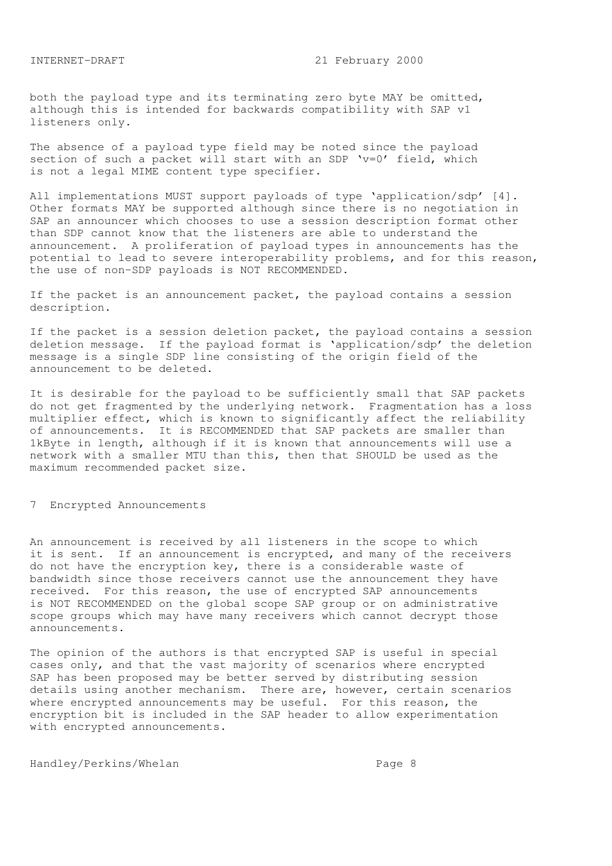both the payload type and its terminating zero byte MAY be omitted, although this is intended for backwards compatibility with SAP v1 listeners only.

The absence of a payload type field may be noted since the payload section of such a packet will start with an SDP 'v=0' field, which is not a legal MIME content type specifier.

All implementations MUST support payloads of type 'application/sdp' [4]. Other formats MAY be supported although since there is no negotiation in SAP an announcer which chooses to use a session description format other than SDP cannot know that the listeners are able to understand the announcement. A proliferation of payload types in announcements has the potential to lead to severe interoperability problems, and for this reason, the use of non-SDP payloads is NOT RECOMMENDED.

If the packet is an announcement packet, the payload contains a session description.

If the packet is a session deletion packet, the payload contains a session deletion message. If the payload format is 'application/sdp' the deletion message is a single SDP line consisting of the origin field of the announcement to be deleted.

It is desirable for the payload to be sufficiently small that SAP packets do not get fragmented by the underlying network. Fragmentation has a loss multiplier effect, which is known to significantly affect the reliability of announcements. It is RECOMMENDED that SAP packets are smaller than 1kByte in length, although if it is known that announcements will use a network with a smaller MTU than this, then that SHOULD be used as the maximum recommended packet size.

# 7 Encrypted Announcements

An announcement is received by all listeners in the scope to which it is sent. If an announcement is encrypted, and many of the receivers do not have the encryption key, there is a considerable waste of bandwidth since those receivers cannot use the announcement they have received. For this reason, the use of encrypted SAP announcements is NOT RECOMMENDED on the global scope SAP group or on administrative scope groups which may have many receivers which cannot decrypt those announcements.

The opinion of the authors is that encrypted SAP is useful in special cases only, and that the vast majority of scenarios where encrypted SAP has been proposed may be better served by distributing session details using another mechanism. There are, however, certain scenarios where encrypted announcements may be useful. For this reason, the encryption bit is included in the SAP header to allow experimentation with encrypted announcements.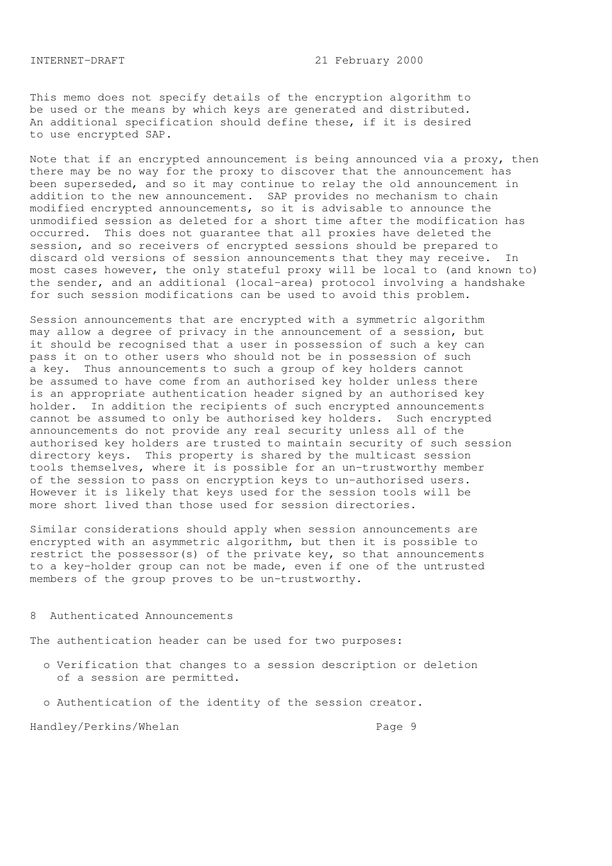This memo does not specify details of the encryption algorithm to be used or the means by which keys are generated and distributed. An additional specification should define these, if it is desired to use encrypted SAP.

Note that if an encrypted announcement is being announced via a proxy, then there may be no way for the proxy to discover that the announcement has been superseded, and so it may continue to relay the old announcement in addition to the new announcement. SAP provides no mechanism to chain modified encrypted announcements, so it is advisable to announce the unmodified session as deleted for a short time after the modification has occurred. This does not guarantee that all proxies have deleted the session, and so receivers of encrypted sessions should be prepared to discard old versions of session announcements that they may receive. In most cases however, the only stateful proxy will be local to (and known to) the sender, and an additional (local-area) protocol involving a handshake for such session modifications can be used to avoid this problem.

Session announcements that are encrypted with a symmetric algorithm may allow a degree of privacy in the announcement of a session, but it should be recognised that a user in possession of such a key can pass it on to other users who should not be in possession of such a key. Thus announcements to such a group of key holders cannot be assumed to have come from an authorised key holder unless there is an appropriate authentication header signed by an authorised key holder. In addition the recipients of such encrypted announcements cannot be assumed to only be authorised key holders. Such encrypted announcements do not provide any real security unless all of the authorised key holders are trusted to maintain security of such session directory keys. This property is shared by the multicast session tools themselves, where it is possible for an un-trustworthy member of the session to pass on encryption keys to un-authorised users. However it is likely that keys used for the session tools will be more short lived than those used for session directories.

Similar considerations should apply when session announcements are encrypted with an asymmetric algorithm, but then it is possible to restrict the possessor(s) of the private key, so that announcements to a key-holder group can not be made, even if one of the untrusted members of the group proves to be un-trustworthy.

### 8 Authenticated Announcements

The authentication header can be used for two purposes:

- o Verification that changes to a session description or deletion of a session are permitted.
- o Authentication of the identity of the session creator.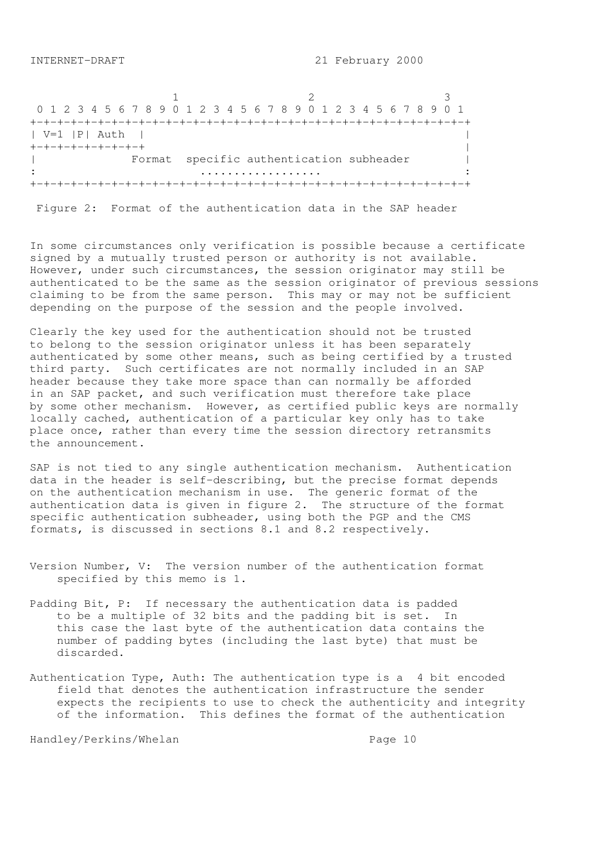1 2 3 0 1 2 3 4 5 6 7 8 9 0 1 2 3 4 5 6 7 8 9 0 1 2 3 4 5 6 7 8 9 0 1 +-+-+-+-+-+-+-+-+-+-+-+-+-+-+-+-+-+-+-+-+-+-+-+-+-+-+-+-+-+-+-+-+ | V=1 |P| Auth | | +-+-+-+-+-+-+-+-+ | Format specific authentication subheader | : .................. : +-+-+-+-+-+-+-+-+-+-+-+-+-+-+-+-+-+-+-+-+-+-+-+-+-+-+-+-+-+-+-+-+

Figure 2: Format of the authentication data in the SAP header

In some circumstances only verification is possible because a certificate signed by a mutually trusted person or authority is not available. However, under such circumstances, the session originator may still be authenticated to be the same as the session originator of previous sessions claiming to be from the same person. This may or may not be sufficient depending on the purpose of the session and the people involved.

Clearly the key used for the authentication should not be trusted to belong to the session originator unless it has been separately authenticated by some other means, such as being certified by a trusted third party. Such certificates are not normally included in an SAP header because they take more space than can normally be afforded in an SAP packet, and such verification must therefore take place by some other mechanism. However, as certified public keys are normally locally cached, authentication of a particular key only has to take place once, rather than every time the session directory retransmits the announcement.

SAP is not tied to any single authentication mechanism. Authentication data in the header is self-describing, but the precise format depends on the authentication mechanism in use. The generic format of the authentication data is given in figure 2. The structure of the format specific authentication subheader, using both the PGP and the CMS formats, is discussed in sections 8.1 and 8.2 respectively.

- Version Number, V: The version number of the authentication format specified by this memo is 1.
- Padding Bit, P: If necessary the authentication data is padded to be a multiple of 32 bits and the padding bit is set. In this case the last byte of the authentication data contains the number of padding bytes (including the last byte) that must be discarded.
- Authentication Type, Auth: The authentication type is a 4 bit encoded field that denotes the authentication infrastructure the sender expects the recipients to use to check the authenticity and integrity of the information. This defines the format of the authentication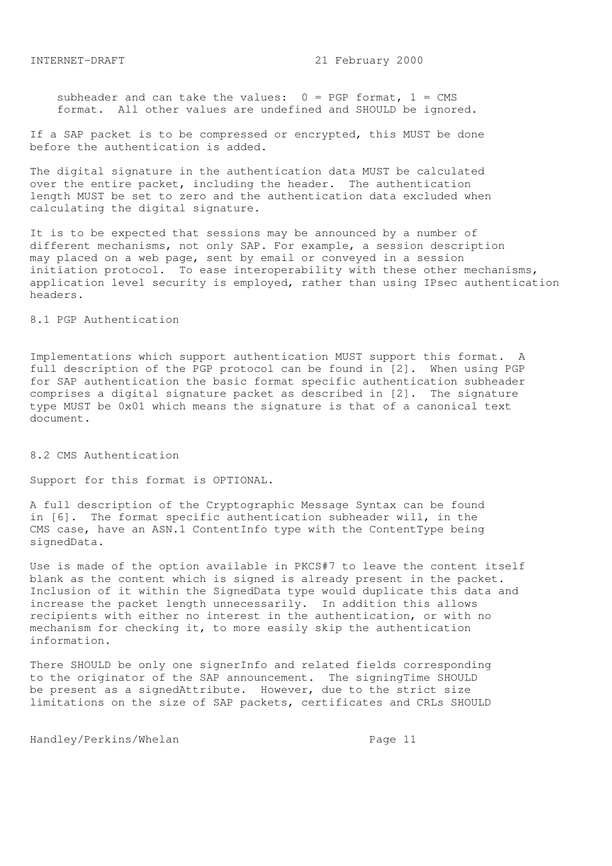subheader and can take the values:  $0 = PGP$  format,  $1 = CMS$ format. All other values are undefined and SHOULD be ignored.

If a SAP packet is to be compressed or encrypted, this MUST be done before the authentication is added.

The digital signature in the authentication data MUST be calculated over the entire packet, including the header. The authentication length MUST be set to zero and the authentication data excluded when calculating the digital signature.

It is to be expected that sessions may be announced by a number of different mechanisms, not only SAP. For example, a session description may placed on a web page, sent by email or conveyed in a session initiation protocol. To ease interoperability with these other mechanisms, application level security is employed, rather than using IPsec authentication headers.

# 8.1 PGP Authentication

Implementations which support authentication MUST support this format. A full description of the PGP protocol can be found in [2]. When using PGP for SAP authentication the basic format specific authentication subheader comprises a digital signature packet as described in [2]. The signature type MUST be 0x01 which means the signature is that of a canonical text document.

### 8.2 CMS Authentication

Support for this format is OPTIONAL.

A full description of the Cryptographic Message Syntax can be found in [6]. The format specific authentication subheader will, in the CMS case, have an ASN.1 ContentInfo type with the ContentType being signedData.

Use is made of the option available in PKCS#7 to leave the content itself blank as the content which is signed is already present in the packet. Inclusion of it within the SignedData type would duplicate this data and increase the packet length unnecessarily. In addition this allows recipients with either no interest in the authentication, or with no mechanism for checking it, to more easily skip the authentication information.

There SHOULD be only one signerInfo and related fields corresponding to the originator of the SAP announcement. The signingTime SHOULD be present as a signedAttribute. However, due to the strict size limitations on the size of SAP packets, certificates and CRLs SHOULD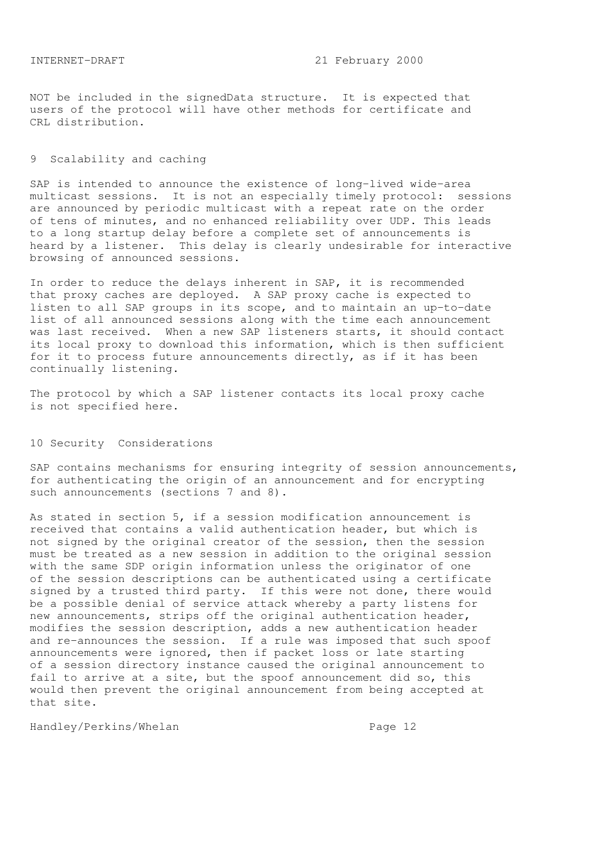NOT be included in the signedData structure. It is expected that users of the protocol will have other methods for certificate and CRL distribution.

# 9 Scalability and caching

SAP is intended to announce the existence of long-lived wide-area multicast sessions. It is not an especially timely protocol: sessions are announced by periodic multicast with a repeat rate on the order of tens of minutes, and no enhanced reliability over UDP. This leads to a long startup delay before a complete set of announcements is heard by a listener. This delay is clearly undesirable for interactive browsing of announced sessions.

In order to reduce the delays inherent in SAP, it is recommended that proxy caches are deployed. A SAP proxy cache is expected to listen to all SAP groups in its scope, and to maintain an up-to-date list of all announced sessions along with the time each announcement was last received. When a new SAP listeners starts, it should contact its local proxy to download this information, which is then sufficient for it to process future announcements directly, as if it has been continually listening.

The protocol by which a SAP listener contacts its local proxy cache is not specified here.

## 10 Security Considerations

SAP contains mechanisms for ensuring integrity of session announcements, for authenticating the origin of an announcement and for encrypting such announcements (sections 7 and 8).

As stated in section 5, if a session modification announcement is received that contains a valid authentication header, but which is not signed by the original creator of the session, then the session must be treated as a new session in addition to the original session with the same SDP origin information unless the originator of one of the session descriptions can be authenticated using a certificate signed by a trusted third party. If this were not done, there would be a possible denial of service attack whereby a party listens for new announcements, strips off the original authentication header, modifies the session description, adds a new authentication header and re-announces the session. If a rule was imposed that such spoof announcements were ignored, then if packet loss or late starting of a session directory instance caused the original announcement to fail to arrive at a site, but the spoof announcement did so, this would then prevent the original announcement from being accepted at that site.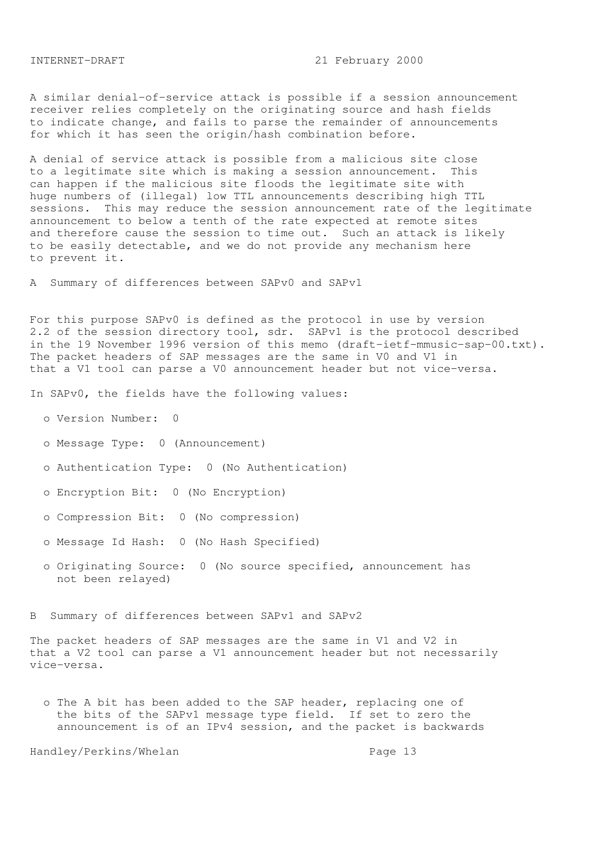A similar denial-of-service attack is possible if a session announcement receiver relies completely on the originating source and hash fields to indicate change, and fails to parse the remainder of announcements for which it has seen the origin/hash combination before.

A denial of service attack is possible from a malicious site close to a legitimate site which is making a session announcement. This can happen if the malicious site floods the legitimate site with huge numbers of (illegal) low TTL announcements describing high TTL sessions. This may reduce the session announcement rate of the legitimate announcement to below a tenth of the rate expected at remote sites and therefore cause the session to time out. Such an attack is likely to be easily detectable, and we do not provide any mechanism here to prevent it.

A Summary of differences between SAPv0 and SAPv1

For this purpose SAPv0 is defined as the protocol in use by version 2.2 of the session directory tool, sdr. SAPv1 is the protocol described in the 19 November 1996 version of this memo (draft-ietf-mmusic-sap-00.txt). The packet headers of SAP messages are the same in V0 and V1 in that a V1 tool can parse a V0 announcement header but not vice-versa.

In SAPv0, the fields have the following values:

- o Version Number: 0
- o Message Type: 0 (Announcement)
- o Authentication Type: 0 (No Authentication)
- o Encryption Bit: 0 (No Encryption)
- o Compression Bit: 0 (No compression)
- o Message Id Hash: 0 (No Hash Specified)
- o Originating Source: 0 (No source specified, announcement has not been relayed)

B Summary of differences between SAPv1 and SAPv2

The packet headers of SAP messages are the same in V1 and V2 in that a V2 tool can parse a V1 announcement header but not necessarily vice-versa.

 o The A bit has been added to the SAP header, replacing one of the bits of the SAPv1 message type field. If set to zero the announcement is of an IPv4 session, and the packet is backwards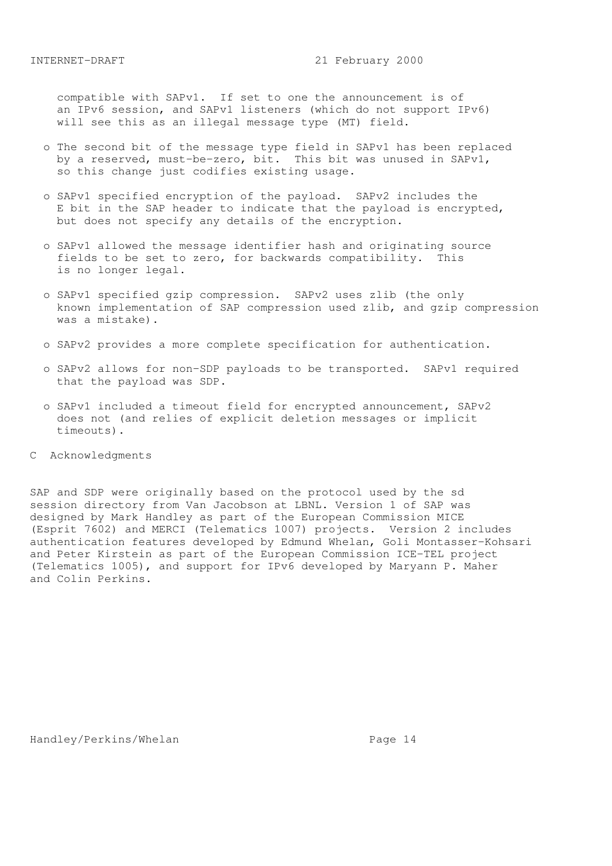compatible with SAPv1. If set to one the announcement is of an IPv6 session, and SAPv1 listeners (which do not support IPv6) will see this as an illegal message type (MT) field.

- o The second bit of the message type field in SAPv1 has been replaced by a reserved, must-be-zero, bit. This bit was unused in SAPv1, so this change just codifies existing usage.
- o SAPv1 specified encryption of the payload. SAPv2 includes the E bit in the SAP header to indicate that the payload is encrypted, but does not specify any details of the encryption.
- o SAPv1 allowed the message identifier hash and originating source fields to be set to zero, for backwards compatibility. This is no longer legal.
- o SAPv1 specified gzip compression. SAPv2 uses zlib (the only known implementation of SAP compression used zlib, and gzip compression was a mistake).
- o SAPv2 provides a more complete specification for authentication.
- o SAPv2 allows for non-SDP payloads to be transported. SAPv1 required that the payload was SDP.
- o SAPv1 included a timeout field for encrypted announcement, SAPv2 does not (and relies of explicit deletion messages or implicit timeouts).
- C Acknowledgments

SAP and SDP were originally based on the protocol used by the sd session directory from Van Jacobson at LBNL. Version 1 of SAP was designed by Mark Handley as part of the European Commission MICE (Esprit 7602) and MERCI (Telematics 1007) projects. Version 2 includes authentication features developed by Edmund Whelan, Goli Montasser-Kohsari and Peter Kirstein as part of the European Commission ICE-TEL project (Telematics 1005), and support for IPv6 developed by Maryann P. Maher and Colin Perkins.